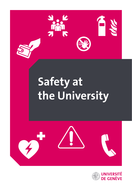

# **Safety at the University**



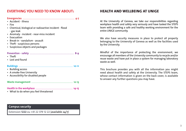## **EVERTHING YOU NEED TO KNOW ABOUT:**

| • Accident - illness                                   |
|--------------------------------------------------------|
| • Fire                                                 |
| • Chemical, biological or radioactive incident - flood |
| - gas leak                                             |
| • Anomaly - incident - near-miss incident              |
| • Evacuation                                           |
| • Break-in - vandalism - assault                       |
| • Theft - suspicious persons                           |
| • Suspicious objects and packages                      |
|                                                        |
|                                                        |
| $\cdot$ Theft                                          |
| • Lost and found                                       |
|                                                        |
|                                                        |
| • Building access                                      |
| • A smoke-free University                              |
| • Accessibility for disabled people                    |
|                                                        |
|                                                        |
|                                                        |
|                                                        |
| • What to do when you feel threatened                  |

## **HEALTH AND WELLBEING AT UNIGE**

At the University of Geneva, we take our responsibilities regarding workplace health and safety very seriously and have tasked the STEPS team with providing a safe and healthy working environment for the entire UNIGE community.

We also have security measures in place to protect all property belonging to the University of Geneva as well as the facilities used by the University.

Mindful of the importance of protecting the environment, we encourage all members of the University community to recycle and/or reuse waste and have put in place a system for managing laboratory waste as well.

This brochure provides you with all the information you might need about health and safety at the University. The STEPS team, whose contact information is given on the back cover, is available to answer any further questions you may have.

#### **Campus security**

Extension **1222** ou +41 22 379 12 22 (available 24/7)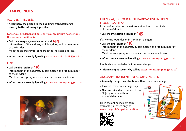## **– EMERGENCIES –**

#### ACCIDENT - ILLNESS

**• Accompany the person to the building's front desk or go directly to the infirmary if possible**

#### **For serious accidents or illness, or if you are unsure how serious the person's condition is:**

**• Call the emergency medical service at 144** Inform them of the address, building, floor, and room number of the incident.

Meet the emergency responders at the indicated address.

**• Inform campus security by calling extension 1222 (+41 22 379 12 22)**

## FIRE

**• Call the fire service at 118**

Inform them of the address, building, floor, and room number of the incident.

Meet the emergency responders at the indicated address.

**• Inform campus security by calling extension 1222 (+41 22 379 12 22)**



## CHEMICAL, BIOLOGICAL OR RADIOACTIVE INCIDENT - FLOOD - GAS LEAK

In case of intoxication or serious accident with chemicals, or in case of doubt:

**• Call the intoxication service at 145**

If anyone is wounded or in imminent danger:

- **Call the fire service at 118** Inform them of the address, building, floor, and room number of the incident. Meet the emergency responders at the indicated address.
	- **Inform campus security by calling extension 1222 (+41 22 379 12 22)**

If nobody is wounded or in imminent danger:

**• Inform campus security by calling extension 1222 (+41 22 379 12 22)**

## ANOMALY - INCIDENT - NEAR-MISS INCIDENT

- **• Anomaly:** dangerous situation with no material damage
- **• Incident:** material damage only
- **• Near-miss incident:** imminent risk of injury, with or without material damage

Fill in the online incident form available (in French only) at [www.unige.ch/steps/declaration](http://www.unige.ch/steps/declaration)



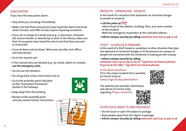## **EVACUATION**

If you hear the evacuation alarm:

- Stop what you are doing immediately.
- Make sure that those around you have heard the alarm and know what it means, and offer to help anyone requiring assistance.
- If you are in charge of a study area (e.g., a classroom, computer lab, lecture theater or laboratory) or work in the library, make sure that all occupants have heard the alarm and that they evacuate as instructed.
- Close all doors and windows. Whenever possible, lock offices and laboratories.
- Go to the nearest exit.
- If the normal exits are blocked (e.g., by smoke, debris or crowds), **use the emergency exits**.
- Do not use the elevators.
- Do not go back unless instructed to do so.
- Go to the assembly point indicated on the "Evacuation Procedures" posted in the hallways.



**Consignes d'év** 

UNIVERSIT

**D.J.** par haut-parleur

 $\bar{\varkappa}$  $\bar{\mathbf{x}}$ Regional de **Re**  STEPS - *Santé au Travail, Environnement, Prévention, Sécurité*  $\mathcal{L}$  and dupling  $\mathcal{L}$ 

- Keep away from the building.
- Remain at the assembly point until you receive further instructions.



#### BREAK-IN - VANDALISM - ASSAULT

In the event of a situation that represents an imminent danger to people or property:

**• Call the police at 117**

Inform them of the address, building, floor, and room number of the incident.

Meet the emergency responders at the indicated address.

**• Inform campus security by calling extension 1222 (+41 22 379 12 22)**

## THEFT - SUSPICIOUS PERSONS

In the event of a theft, break-in, vandalism or other situation that does not represent an imminent danger, or if the presence on campus of people not connected with the University is making you feel uneasy:

**• Inform campus security by calling** 

**extension 1222 (+41 22 379 12 22), or \*\*333 (from an internal phone) If you're at the CMU: \*\*555 (from an internal phone)**

In the above situations: Fill in the online incident form available (in French only) at [www.unige.ch/steps/declaration](http://www.unige.ch/steps/declaration)



The website also provides information and advice (in French only) regarding [filing a complaint](https://memento.unige.ch/doc/0074).



## SUSPICIOUS OBJECTS AND PACKAGES

- Do not touch or open the object or package
- Keep people away from the object or package
- **Inform campus security by calling extension 1222 (+41 22 379 12 22)**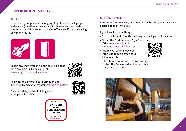## **– PREVENTION - SAFETY –**

#### THEFT

Never leave your personal belongings (e.g., telephones, laptops, wallets, etc.) unattended, especially in libraries, lecture theaters, cafeterias, and laboratories. Lock your office even if you are leaving only momentarily.



Report any theft by filling in the online incident form available (in French only) at [www.unige.ch/steps](http://www.unige.ch/steps/declaration)/declaration

The website also provides information and advice (in French only) regarding [filing a complaint](https://memento.unige.ch/doc/0074).

For your safety, certain buildings are equipped with CCTV.





# LOST AND FOUND

Items found in University buildings should be brought as quickly as possible to the front desk.

If you have lost something:

- Go to the front desk of the building in which you lost the item.
- Fill out the "[lost item form"](http://memento.unige.ch/doc/0132/files/f-declaration-de-perte.doc) (in French only) if the item was valuable. [memento.unige.ch/doc/0132](https://memento.unige.ch/doc/0132)
- Inform your service provider if the lost item is a credit card, telephone, etc.



• If the item is not returned to you quickly, contact the Geneva lost and found office at +41 22 427 90 00.

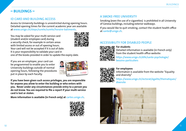## **– BUILDINGS –**

## ID CARD AND BUILDING ACCESS

Access to University buildings is unrestricted during opening hours. Detailed opening times for the current academic year are available at [www.unige.ch/steps/surete/surete/horaire-batiments.](http://www.unige.ch/steps/surete/surete/horaire-batiments)

You may be asked for your multi-service card (student and/or employee card) during a security check, for example in certain areas with limited access or out of opening hours. Your card will not be accepted if it is out of date. It is your responsibility to validate your card in

one of the kiosks provided in order to update the expiry date.

If you are an employee, your card can be programmed to enable you to enter University buildings outside of normal opening hours, following the procedures put in place by each Faculty.



**If you have been given such access privileges, you are responsible for anyone you allow to enter the building or who enters with you. Never under any circumstances provide entry to a person you do not know. You are required to file a report if your multi-service card is lost or stolen.**

**More information is available (in French only) at** [cartes.unige.ch](https://cartes.unige.ch/presentation/carte/)**.**



## A SMOKE-FREE UNIVERSITY

Smoking (even the use of e-cigarettes) is prohibited in all University of Geneva buildings, including exterior walkways.

If you would like to quit smoking, contact the student health office at [sante@unige.ch.](mailto:sante%40unige.ch?subject=Je%20souhaite%20arr%C3%AAter%20de%20fumer)

## ACCESSIBILITY FOR DISABLED PEOPLE



#### **For students**

Detailed information is available (in French only) from the student health office website:

[https://www.unige.ch/dife/sante-psychologie/](https://www.unige.ch/dife/sante-psychologie/besoins-particuliers) [besoins-particuliers](https://www.unige.ch/dife/sante-psychologie/besoins-particuliers)



**For employees** Information is available from the website "Equality and diversity"

[https://www.unige.ch/rectorat/egalite/thematiques/](https://www.unige.ch/rectorat/egalite/thematiques/diversite) [diversite](https://www.unige.ch/rectorat/egalite/thematiques/diversite)

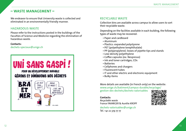## **– WASTE MANAGEMENT –**

We endeavor to ensure that University waste is collected and eliminated in an environmentally friendly manner.

#### HAZARDOUS WASTE

Please refer to the instructions posted in the buildings of the Faculties of Science and Medicine regarding the elimination of hazardous waste.

#### **Contacts:**

[dechets-speciaux@unige.ch](mailto:dechets-speciaux%40unige.ch?subject=)



## RECYCLABLE WASTE

Collection bins are available across campus to allow users to sort their recyclable waste.

Depending on the facilities available in each building, the following types of waste may be recovered:

- Paper and cardboard
- Aluminum
- Plastics: expanded polystyrene
- PET (polyethylene terephthalate)
- PP (polypropylene): boxes of pipette tips and stands
- Low-density polyethylene
- Coffee capsules (ex: Nespresso)
- Ink and toner cartridges, CDs
- Batteries
- Cellphones and chargers
- Fluorescent tubes
- IT and other electric and electronic equipment
- Bulky items

More details are available (in French only) on the website: [www.unige.ch/batiment/campus-durable/recyclage/](https://www.unige.ch/batiment/campus-durable/recyclage/ gestion-des-dechets/dechets-valorisables) [gestion-des-dechets/dechets-valorisables](https://www.unige.ch/batiment/campus-durable/recyclage/ gestion-des-dechets/dechets-valorisables)

#### **Contacts:**

*Recyclable waste* France FAVARGER & Aurélie KROPF

[dechets-valorisables@unige.ch](mailto:dechets-valorisables%40unige.ch?subject=) Tel. +41 22 379 77 77

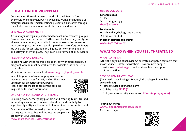## **– HEALTH IN THE WORKPLACE –**

Creating a healthy environment at work is in the interest of both employers and employees, but it is University Management that is primarily responsible for implementing a prevention plan, often through consultation with specialists in workplace health and safety.

#### RISK ANALYSIS AND ADVICE

A risk analysis is regularly performed for each new research group in Faculties with specific hazards. Furthermore, the University safety engineers regularly carry out audits in order to assess the prevention measures in place and keep records up to date. The safety engineers are available for consultation on all questions concerning health and safety in the workplace. They must be informed of all accidents.

#### PREGNANCY AND NURSING

In keeping with Swiss federal legislation, any workspace used by a pregnant woman must be evaluated for possible risks to herself or to her child.

More information is available at [www.unige.ch/egalite/parents](http://www.unige.ch/egalite/parents).

In buildings with infirmaries, pregnant women may use these spaces for rest, and mothers may use them for breastfeeding purposes. Please contact the front desk of the building in question for more information.



#### EMERGENCY PLANS AND SAFETY TEAMS

Ensuring proper emergency planning and creating teams trained in building evacuation, fire control and first aid can help to significantly mitigate the impact of an accident or other incident.

As a member of the university community, you can participate in the safety and protect the people and property at your work site.

[www.unige.ch/steps/surete/formation](https://www.unige.ch/steps/surete/formation/)



#### USEFUL CONTACTS

**For employees STEPS** Tél. +41 22 379 12 34 [steps@unige.ch](mailto:steps%40unige.ch?subject=)

**For students** Health and Psychology Department Tel: +41 22 379 13 33 **In case of conflicts or ill-being** [www.unige.ch/maletre](http://www.unige.ch/maletre)

# **WHAT TO DO WHEN YOU FEEL THREATENED**

#### WHAT IS A THREAT?

A threat is any kind of behavior, act or written or spoken comment that makes you feel unsafe, even if there is no imminent danger:

• Write to [respect@unige.ch](mailto:respect%40unige.ch?subject=) and provide a brief description of the situation.

#### SPECIFIC, IMMINENT THREAT

(An armed attack, hostage situation, kidnapping or immediate suicide threat)

- Protect yourself, sound the alarm
- 
- Call the police **N° 117** Notify campus security at extension **N° 1222 (+41 22 379 12 22)**

#### **To find out more:**

[www.unige.ch/steps/sante/respect](https://www.unige.ch/steps/sante/respect/) (in French only)